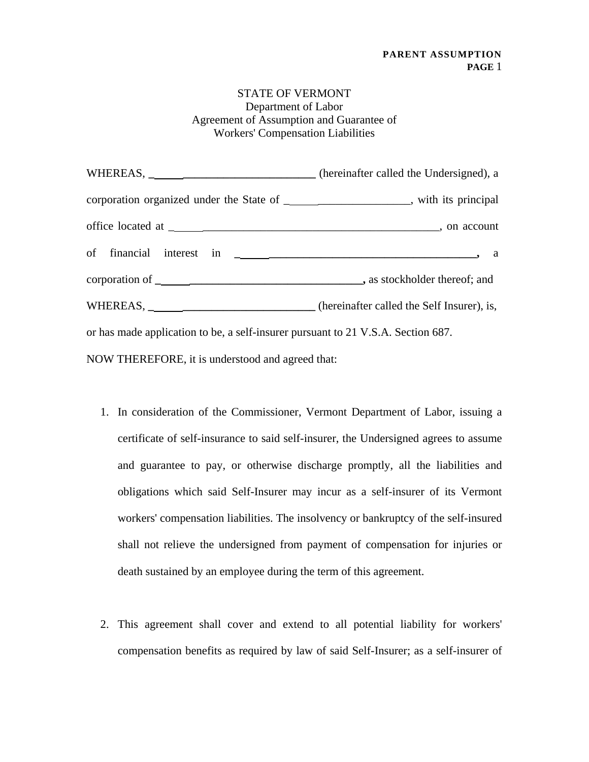## STATE OF VERMONT Department of Labor Agreement of Assumption and Guarantee of Workers' Compensation Liabilities

| WHEREAS, ________________________________ (hereinafter called the Undersigned), a       |  |
|-----------------------------------------------------------------------------------------|--|
| corporation organized under the State of _______________________, with its principal    |  |
|                                                                                         |  |
|                                                                                         |  |
|                                                                                         |  |
| WHEREAS, ___________________________________ (hereinafter called the Self Insurer), is, |  |
| or has made application to be, a self-insurer pursuant to 21 V.S.A. Section 687.        |  |
| NOW THEREFORE, it is understood and agreed that:                                        |  |

- 1. In consideration of the Commissioner, Vermont Department of Labor, issuing a certificate of self-insurance to said self-insurer, the Undersigned agrees to assume and guarantee to pay, or otherwise discharge promptly, all the liabilities and obligations which said Self-Insurer may incur as a self-insurer of its Vermont workers' compensation liabilities. The insolvency or bankruptcy of the self-insured shall not relieve the undersigned from payment of compensation for injuries or death sustained by an employee during the term of this agreement.
- 2. This agreement shall cover and extend to all potential liability for workers' compensation benefits as required by law of said Self-Insurer; as a self-insurer of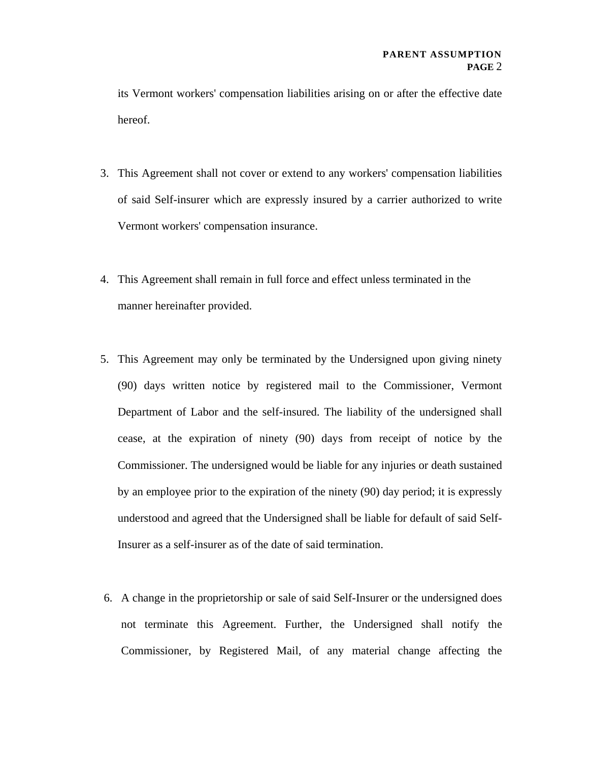its Vermont workers' compensation liabilities arising on or after the effective date hereof.

- 3. This Agreement shall not cover or extend to any workers' compensation liabilities of said Self-insurer which are expressly insured by a carrier authorized to write Vermont workers' compensation insurance.
- 4. This Agreement shall remain in full force and effect unless terminated in the manner hereinafter provided.
- 5. This Agreement may only be terminated by the Undersigned upon giving ninety (90) days written notice by registered mail to the Commissioner, Vermont Department of Labor and the self-insured. The liability of the undersigned shall cease, at the expiration of ninety (90) days from receipt of notice by the Commissioner. The undersigned would be liable for any injuries or death sustained by an employee prior to the expiration of the ninety (90) day period; it is expressly understood and agreed that the Undersigned shall be liable for default of said Self-Insurer as a self-insurer as of the date of said termination.
- 6. A change in the proprietorship or sale of said Self-Insurer or the undersigned does not terminate this Agreement. Further, the Undersigned shall notify the Commissioner, by Registered Mail, of any material change affecting the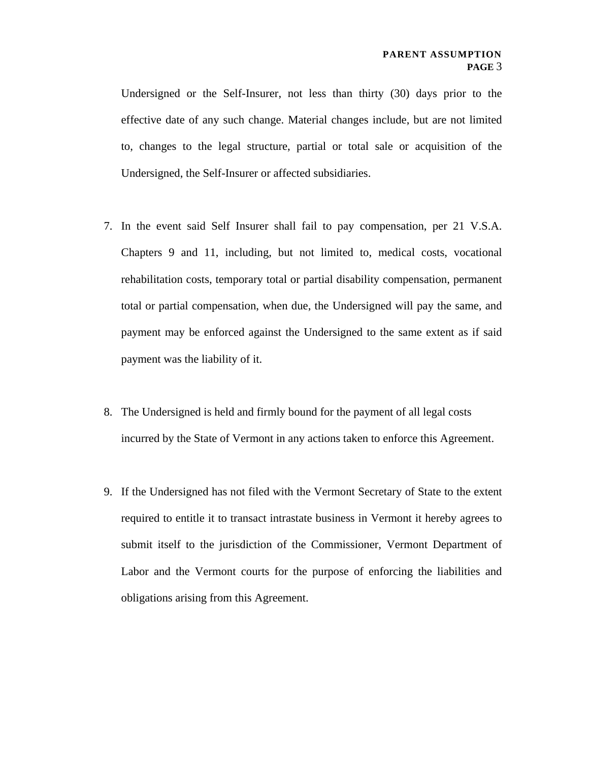Undersigned or the Self-Insurer, not less than thirty (30) days prior to the effective date of any such change. Material changes include, but are not limited to, changes to the legal structure, partial or total sale or acquisition of the Undersigned, the Self-Insurer or affected subsidiaries.

- 7. In the event said Self Insurer shall fail to pay compensation, per 21 V.S.A. Chapters 9 and 11, including, but not limited to, medical costs, vocational rehabilitation costs, temporary total or partial disability compensation, permanent total or partial compensation, when due, the Undersigned will pay the same, and payment may be enforced against the Undersigned to the same extent as if said payment was the liability of it.
- 8. The Undersigned is held and firmly bound for the payment of all legal costs incurred by the State of Vermont in any actions taken to enforce this Agreement.
- 9. If the Undersigned has not filed with the Vermont Secretary of State to the extent required to entitle it to transact intrastate business in Vermont it hereby agrees to submit itself to the jurisdiction of the Commissioner, Vermont Department of Labor and the Vermont courts for the purpose of enforcing the liabilities and obligations arising from this Agreement.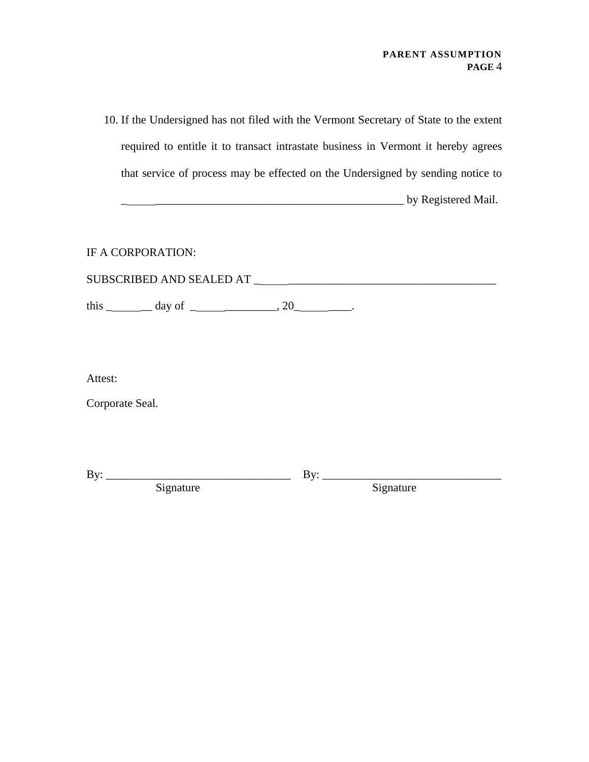10. If the Undersigned has not filed with the Vermont Secretary of State to the extent required to entitle it to transact intrastate business in Vermont it hereby agrees that service of process may be effected on the Undersigned by sending notice to \_ \_\_\_\_\_\_\_\_\_\_\_\_\_\_\_\_\_\_\_\_\_\_\_\_\_\_\_\_\_\_\_\_\_\_\_\_\_\_\_\_\_\_\_ by Registered Mail.

IF A CORPORATION:

| SUBSCRIBED AND SEALED AT |  |
|--------------------------|--|
|                          |  |

this \_\_\_\_\_\_\_\_\_ day of \_\_\_\_\_\_\_\_\_\_\_\_\_\_, 20\_\_\_\_\_\_\_\_\_.

Attest:

Corporate Seal.

| Bv:                |                  |
|--------------------|------------------|
| ∗onature<br>$\sim$ | ----<br>аге<br>້ |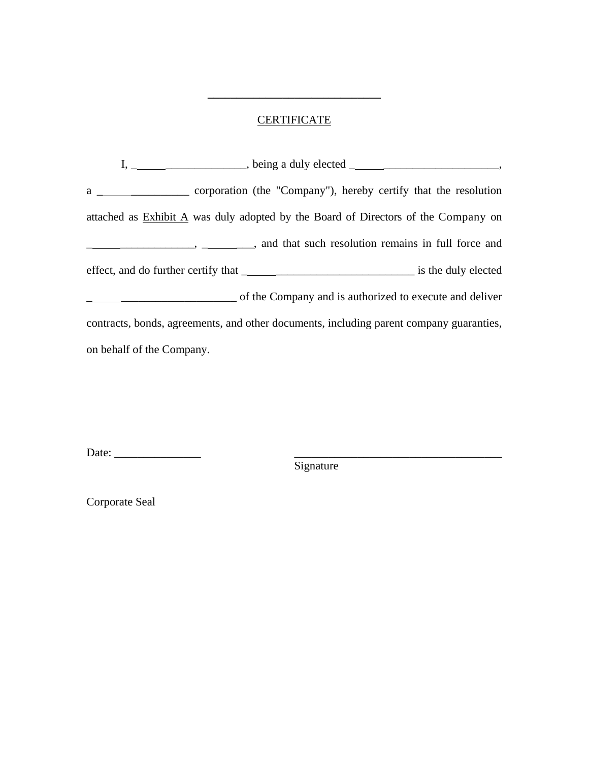## **CERTIFICATE**

**\_\_\_\_\_\_\_\_\_\_\_\_\_\_\_\_\_\_\_\_\_\_\_\_\_\_\_\_\_\_**

|                           | $I, \_\_\_\_\_\_\_\_$ , being a duly elected $\_\_\_\_\_\_\_\_\_$ ,                     |
|---------------------------|-----------------------------------------------------------------------------------------|
|                           |                                                                                         |
|                           | attached as Exhibit A was duly adopted by the Board of Directors of the Company on      |
|                           |                                                                                         |
|                           |                                                                                         |
|                           | of the Company and is authorized to execute and deliver                                 |
|                           | contracts, bonds, agreements, and other documents, including parent company guaranties, |
| on behalf of the Company. |                                                                                         |

Date: \_\_\_\_\_\_\_\_\_\_\_\_\_\_\_ \_\_\_\_\_\_\_\_\_\_\_\_\_\_\_\_\_\_\_\_\_\_\_\_\_\_\_\_\_\_\_\_\_\_\_\_

Signature

Corporate Seal